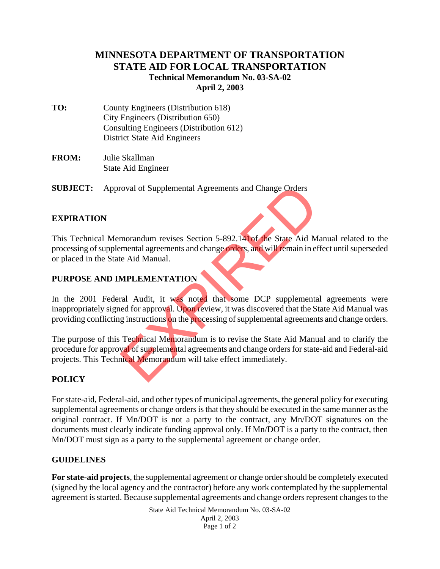# **MINNESOTA DEPARTMENT OF TRANSPORTATION STATE AID FOR LOCAL TRANSPORTATION Technical Memorandum No. 03-SA-02 April 2, 2003**

- **TO:** County Engineers (Distribution 618) City Engineers (Distribution 650) Consulting Engineers (Distribution 612) District State Aid Engineers
- **FROM:** Julie Skallman State Aid Engineer

**SUBJECT:** Approval of Supplemental Agreements and Change Orders

### **EXPIRATION**

This Technical Memorandum revises Section 5-892.141of the State Aid Manual related to the processing of supplemental agreements and change orders, and will remain in effect until superseded or placed in the State Aid Manual.

## **PURPOSE AND IMPLEMENTATION**

In the 2001 Federal Audit, it was noted that some DCP supplemental agreements were inappropriately signed for approval. Upon review, it was discovered that the State Aid Manual was providing conflicting instructions on the processing of supplemental agreements and change orders. France Coval of Supplemental Agreements and Change Orders<br>
morandum revises Section 5-892.14 of the State Aid M<br>
mental agreements and change orders, and will remain in ef<br>
e Aid Manual.<br>
MPLEMENTATION<br>
ral Audit, it was n

The purpose of this Technical Memorandum is to revise the State Aid Manual and to clarify the procedure for approval of supplemental agreements and change orders for state-aid and Federal-aid projects. This Technical Memorandum will take effect immediately.

## **POLICY**

For state-aid, Federal-aid, and other types of municipal agreements, the general policy for executing supplemental agreements or change orders is that they should be executed in the same manner as the original contract. If Mn/DOT is not a party to the contract, any Mn/DOT signatures on the documents must clearly indicate funding approval only. If Mn/DOT is a party to the contract, then Mn/DOT must sign as a party to the supplemental agreement or change order.

#### **GUIDELINES**

**For state-aid projects**, the supplemental agreement or change order should be completely executed (signed by the local agency and the contractor) before any work contemplated by the supplemental agreement is started. Because supplemental agreements and change orders represent changes to the

> State Aid Technical Memorandum No. 03-SA-02 April 2, 2003 Page 1 of 2